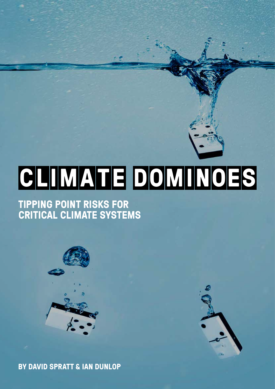# **CLIMA TE DOMINOES**

#### **TIPPING POINT RISKS FOR CRITICAL CLIMATE SYSTEMS**



**BY DAVID SPRATT & IAN DUNLOP**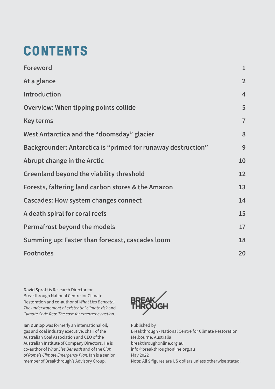# **CONTENTS**

| <b>Foreword</b>                                                     | $\mathbf{1}$   |
|---------------------------------------------------------------------|----------------|
| At a glance                                                         | $\overline{2}$ |
| <b>Introduction</b>                                                 | $\overline{4}$ |
| <b>Overview: When tipping points collide</b>                        | 5              |
| Key terms                                                           | $\overline{7}$ |
| West Antarctica and the "doomsday" glacier                          | 8              |
| <b>Backgrounder: Antarctica is "primed for runaway destruction"</b> | 9              |
| Abrupt change in the Arctic                                         | 10             |
| <b>Greenland beyond the viability threshold</b>                     | 12             |
| Forests, faltering land carbon stores & the Amazon                  | 13             |
| <b>Cascades: How system changes connect</b>                         | 14             |
| A death spiral for coral reefs                                      | 15             |
| <b>Permafrost beyond the models</b>                                 | 17             |
| Summing up: Faster than forecast, cascades loom                     | 18             |
| <b>Footnotes</b>                                                    | 20             |

David Spratt is Research Director for Breakthrough National Centre for Climate Restoration and co-author of *What Lies Beneath: The understatement of existential climate risk* and *Climate Code Red: The case for emergency action.*

Ian Dunlop was formerly an international oil, gas and coal industry executive, chair of the Australian Coal Association and CEO of the Australian Institute of Company Directors. He is co-author of *What Lies Beneath* and of the *Club of Rome's Climate Emergency Plan*. Ian is a senior member of Breakthrough's Advisory Group.



Published by Breakthrough - National Centre for Climate Restoration Melbourne, Australia breakthroughonline.org.au info@breakthroughonline.org.au May 2022 Note: All \$ figures are US dollars unless otherwise stated.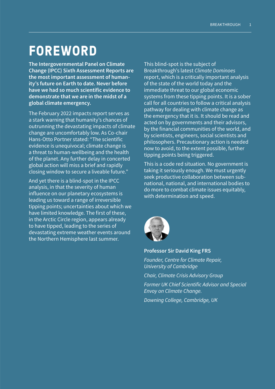# **FOREWORD**

The Intergovernmental Panel on Climate Change (IPCC) Sixth Assessment Reports are the most important assessment of humanity's future on Earth to date. Never before have we had so much scientific evidence to demonstrate that we are in the midst of a global climate emergency.

The February 2022 impacts report serves as a stark warning that humanity's chances of outrunning the devastating impacts of climate change are uncomfortably low. As Co-chair Hans-Otto Portner stated: "The scientific evidence is unequivocal; climate change is a threat to human-wellbeing and the health of the planet. Any further delay in concerted global action will miss a brief and rapidly closing window to secure a liveable future."

And yet there is a blind-spot in the IPCC analysis, in that the severity of human influence on our planetary ecosystems is leading us toward a range of irreversible tipping points; uncertainties about which we have limited knowledge. The first of these, in the Arctic Circle region, appears already to have tipped, leading to the series of devastating extreme weather events around the Northern Hemisphere last summer.

This blind-spot is the subject of Breakthrough's latest *Climate Dominoes* report, which is a critically important analysis of the state of the world today and the immediate threat to our global economic systems from these tipping points. It is a sober call for all countries to follow a critical analysis pathway for dealing with climate change as the emergency that it is. It should be read and acted on by governments and their advisors, by the financial communities of the world, and by scientists, engineers, social scientists and philosophers. Precautionary action is needed now to avoid, to the extent possible, further tipping points being triggered.

This is a code red situation. No government is taking it seriously enough. We must urgently seek productive collaboration between subnational, national, and international bodies to do more to combat climate issues equitably, with determination and speed.



#### Professor Sir David King FRS

*Founder, Centre for Climate Repair, University of Cambridge*

*Chair, Climate Crisis Advisory Group*

*Former UK Chief Scientific Advisor and Special Envoy on Climate Change.*

*Downing College, Cambridge, UK*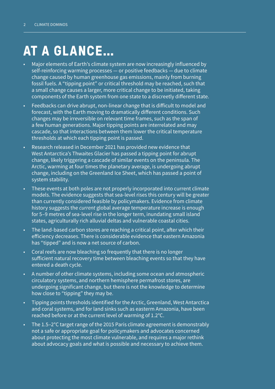# **AT A GLANCE…**

- Major elements of Earth's climate system are now increasingly influenced by self-reinforcing warming processes — or positive feedbacks — due to climate change caused by human greenhouse gas emissions, mainly from burning fossil fuels. A "tipping point" or critical threshold may be reached, such that a small change causes a larger, more critical change to be initiated, taking components of the Earth system from one state to a discreetly different state.
- Feedbacks can drive abrupt, non-linear change that is difficult to model and forecast, with the Earth moving to dramatically different conditions. Such changes may be irreversible on relevant time frames, such as the span of a few human generations. Major tipping points are interrelated and may cascade, so that interactions between them lower the critical temperature thresholds at which each tipping point is passed.
- Research released in December 2021 has provided new evidence that West Antarctica's Thwaites Glacier has passed a tipping point for abrupt change, likely triggering a cascade of similar events on the peninsula. The Arctic, warming at four times the planetary average, is undergoing abrupt change, including on the Greenland Ice Sheet, which has passed a point of system stability.
- These events at both poles are not properly incorporated into current climate models. The evidence suggests that sea-level rises this century will be greater than currently considered feasible by policymakers. Evidence from climate history suggests the *current* global average temperature increase is enough for 5–9 metres of sea-level rise in the longer term, inundating small island states, agriculturally rich alluvial deltas and vulnerable coastal cities.
- The land-based carbon stores are reaching a critical point, after which their efficiency decreases. There is considerable evidence that eastern Amazonia has "tipped" and is now a net source of carbon.
- Coral reefs are now bleaching so frequently that there is no longer sufficient natural recovery time between bleaching events so that they have entered a death cycle.
- A number of other climate systems, including some ocean and atmospheric circulatory systems, and northern hemisphere permafrost stores, are undergoing significant change, but there is not the knowledge to determine how close to "tipping" they may be.
- Tipping points thresholds identified for the Arctic, Greenland, West Antarctica and coral systems, and for land sinks such as easterm Amazonia, have been reached before or at the current level of warming of 1.2°C.
- The 1.5–2°C target range of the 2015 Paris climate agreement is demonstrably not a safe or appropriate goal for policymakers and advocates concerned about protecting the most climate vulnerable, and requires a major rethink about advocacy goals and what is possible and necessary to achieve them.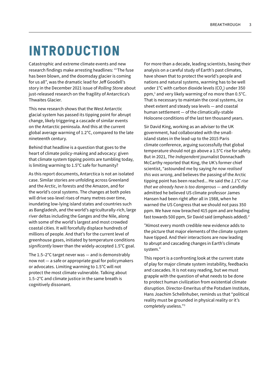# **INTRODUCTION**

Catastrophic and extreme climate events and new research findings make arresting headlines: "'The fuse has been blown, and the doomsday glacier is coming for us all", was the dramatic lead for Jeff Goodell's story in the December 2021 issue of *Rolling Stone* about just-released research on the fragility of Antarctica's Thwaites Glacier.

This new research shows that the West Antarctic glacial system has passed its tipping point for abrupt change, likely triggering a cascade of similar events on the Antarctic peninsula. And this at the current global average warming of 1.2°C, compared to the late nineteenth century.

Behind that headline is a question that goes to the heart of climate policy-making and advocacy: given that climate system tipping points are tumbling today, is limiting warming to 1.5°C safe for humanity?

As this report documents, Antarctica is not an isolated case. Similar stories are unfolding across Greenland and the Arctic, in forests and the Amazon, and for the world's coral systems. The changes at both poles will drive sea-level rises of many metres over time, inundating low-lying island states and countries such as Bangladesh, and the world's agriculturally-rich, large river deltas including the Ganges and the Nile, along with some of the world's largest and most crowded coastal cities. It will forcefully displace hundreds of millions of people. And that's for the current level of greenhouse gases, initiated by temperature conditions *significantly* lower than the widely-accepted 1.5°C goal.

The 1.5–2°C target never was — and is demonstrably now not — a safe or appropriate goal for policymakers or advocates. Limiting warming to 1.5°C will not protect the most climate vulnerable. Talking about 1.5–2°C and climate justice in the same breath is cognitively dissonant.

For more than a decade, leading scientists, basing their analysis on a careful study of Earth's past climates, have shown that to protect the world's people and nations and natural systems, warming has to be well under  $1^{\circ}$ C with carbon dioxide levels (CO<sub>2</sub>) under 350 ppm,<sup>1</sup> and very likely warming of no more than 0.5°C. That is necessary to maintain the coral systems, ice sheet extent and steady sea levels — and coastal human settlement — of the climatically-stable Holocene conditions of the last ten thousand years.

Sir David King, working as an adviser to the UK government, had collaborated with the smallisland states in the lead-up to the 2015 Paris climate conference, arguing successfully that global temperature should not go above a 1.5°C rise for safety. But in 2021, *The Independent* journalist Donnachadh McCarthy reported that King, the UK's former chief scientist, "astounded me by saying *he now realised this was wrong*, and believes the passing of the Arctic tipping point has been reached... He said the *1.1°C rise that we already have is too dangerous* — and candidly admitted he believed US climate professor James Hansen had been right after all in 1988, when he warned the US Congress that we should not pass 350 ppm. We have now breached 415 ppm and are heading fast towards 500 ppm, Sir David said (emphasis added).2

"Almost every month credible new evidence adds to the picture that major elements of the climate system have tipped. And their interactions are now leading to abrupt and cascading changes in Earth's climate system."

This report is a confronting look at the current state of play for major climate system instability, feedbacks and cascades. It is not easy reading, but we must grapple with the question of what needs to be done to protect human civilization from existential climate disruption. Director-Emeritus of the Potsdam Institute, Hans Joachim Schellnhuber, reminds us that "political reality must be grounded in physical reality or it's completely useless."3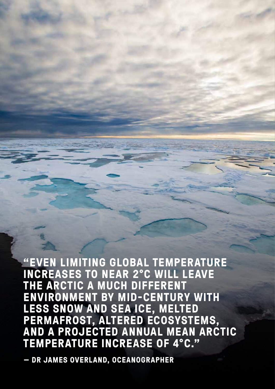**"EVEN LIMITING GLOBAL TEMPERATURE INCREASES TO NEAR 2°C WILL LEAVE THE ARCTIC A MUCH DIFFERENT ENVIRONMENT BY MID-CENTURY WITH LESS SNOW AND SEA ICE, MELTED PERMAFROST, ALTERED ECOSYSTEMS, AND A PROJECTED ANNUAL MEAN ARCTIC TEMPERATURE INCREASE OF 4°C."**

**— DR JAMES OVERLAND, OCEANOGRAPHER**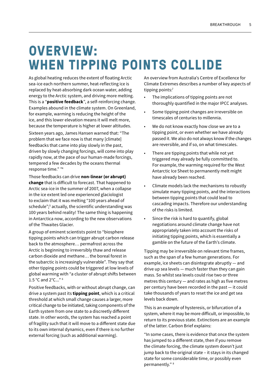# **OVERVIEW: WHEN TIPPING POINTS COLLIDE**

As global heating reduces the extent of floating Arctic sea-ice each northern summer, heat-reflecting ice is replaced by heat-absorbing dark ocean water, adding energy to the Arctic system, and driving more melting. This is a "positive feedback", a self-reinforcing change. Examples abound in the climate system. On Greenland, for example, warming is reducing the height of the ice, and this lower elevation means it will melt more, because the temperature is higher at lower altitudes.

Sixteen years ago, James Hansen warned that: "The problem that we face now is that many [climate] feedbacks that came into play slowly in the past, driven by slowly changing forcings, will come into play rapidly now, at the pace of our human-made forcings, tempered a few decades by the oceans thermal response time." "4

Those feedbacks can drive non-linear (or abrupt) change that is difficult to forecast. That happened to Arctic sea-ice in the summer of 2007, when a collapse in the ice extent led one experienced glaciologist to exclaim that it was melting "100 years ahead of schedule";5 actually, the scientific understanding was 100 years behind reality! The same thing is happening in Antarctica now, according to the new observations of the Thwaites Glacier.

A group of eminent scientists point to "biosphere tipping points which can trigger abrupt carbon release back to the atmosphere… permafrost across the Arctic is beginning to irreversibly thaw and release carbon dioxide and methane… the boreal forest in the subarctic is increasingly vulnerable". They say that other tipping points could be triggered at low levels of global warming with "a cluster of abrupt shifts between 1.5 °C and 2°C..." 6

Positive feedbacks, with or without abrupt change, can drive a system past its **tipping point**, which is a critical threshold at which small change causes a larger, more critical change to be initiated, taking components of the Earth system from one state to a discreetly different state. In other words, the system has reached a point of fragility such that it will move to a different state due to its own internal dynamics, even if there is no further external forcing (such as additional warming).

An overview from Australia's Centre of Excellence for Climate Extremes describes a number of key aspects of tipping points:<sup>7</sup>

- The implications of tipping points are not thoroughly quantified in the major IPCC analyses.
- Some tipping point changes are irreversible on timescales of centuries to millennia.
- We do not know exactly how close we are to a tipping point, or even whether we have already passed it. We also do not always know if the changes are reversible, and if so, on what timescales.
- There are tipping points that while not yet triggered may already be fully committed to. For example, the warming required for the West Antarctic Ice Sheet to permanently melt might have already been reached.
- Climate models lack the mechanisms to robustly simulate many tipping points, and the interactions between tipping points that could lead to cascading impacts. Therefore our understanding of the risks is limited.
- Since the risk is hard to quantify, global negotiations around climate change have not appropriately taken into account the risks of initiating tipping points, which is essentially a gamble on the future of the Earth's climate.

Tipping may be irreversible on relevant time frames, such as the span of a few human generations. For example, ice sheets can disintegrate abruptly — and drive up sea levels — much faster than they can gain mass. So whilst sea levels could rise two or three metres this century — and rates as high as five metres per century have been recorded in the past — it could take thousands of years to reset the ice and get sea levels back down.

This is an example of hysteresis, or bifurcation of a system, where it may be more difficult, or impossible, to return to its previous state. Extinctions are an example of the latter. Carbon Brief explains:

"In some cases, there is evidence that once the system has jumped to a different state, then if you remove the climate forcing, the climate system doesn't just jump back to the original state – it stays in its changed state for some considerable time, or possibly even permanently." 8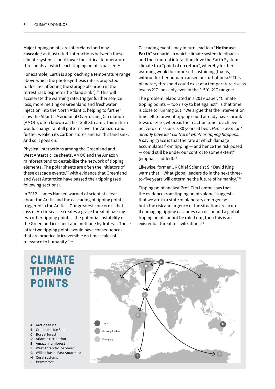Major tipping points are interrelated and may **cascade**,<sup>9</sup> as illustrated. Interactions between these climate systems could lower the critical temperature thresholds at which each tipping point is passed.<sup>10</sup>

For example, Earth is approaching a temperature range above which the photosynthesis rate is projected to decline, affecting the storage of carbon in the terrestrial biosphere (the "land sink").<sup>11</sup> This will accelerate the warming rate, trigger further sea-ice loss, more melting on Greenland and freshwater injection into the North Atlantic, helping to further slow the Atlantic Meridional Overturning Circulation (AMOC), often known as the "Gulf Stream". This in turn would change rainfall patterns over the Amazon and further weaken its carbon stores and Earth's land sink. And so it goes on.

Physical interactions among the Greenland and West Antarctic ice sheets, AMOC and the Amazon rainforest tend to destabilise the network of tipping elements. The polar sheets are often the initiators of these cascade events,<sup>12</sup> with evidence that Greenland and West Antarctica have passed their tipping (see following sections).

In 2012, James Hansen warned of scientists' fear about the Arctic and the cascading of tipping points triggered in the Arctic: "Our greatest concern is that loss of Arctic sea ice creates a grave threat of passing two other tipping points – the potential instability of the Greenland ice sheet and methane hydrates… These latter two tipping points would have consequences that are practically irreversible on time scales of relevance to humanity." 13

Cascading events may in turn lead to a "Hothouse Earth" scenario, in which climate system feedbacks and their mutual interaction drive the Earth System climate to a "point of no return", whereby further warming would become self-sustaining (that is, without further human-caused perturbations).<sup>14</sup> This planetary threshold could exist at a temperature rise as low as 2°C, possibly even in the 1.5°C–2°C range.15

The problem, elaborated in a 2019 paper, "Climate tipping points — too risky to bet against", is that time is close to running out: "We argue that the intervention time left to prevent tipping could already have shrunk towards zero, whereas the reaction time to achieve net zero emissions is 30 years at best. *Hence we might already have lost control of whether tipping happens*. A saving grace is that the rate at which damage accumulates from tipping — and hence the risk posed — could still be under our control to some extent" (emphasis added). $16$ 

Likewise, former UK Chief Scientist Sir David King warns that: "What global leaders do in the next threeto-five years will determine the future of humanity."17

Tipping point analyst Prof. Tim Lenton says that the evidence from tipping points alone "suggests that we are in a state of planetary emergency: both the risk and urgency of the situation are acute… If damaging tipping cascades can occur and a global tipping point cannot be ruled out, then this is an existential threat to civilization".18

#### **CLIMATE TIPPING POINTS**

- A Arctic sea ice
- B Greenland Ice Sheet
- C Boreal forest
- D Atlantic circulation
- E Amazon rainforest
- F West Antarctic Ice Sheet
- G Wilkes Basin, East Antarctica
- H Coral systems
- I Permafrost

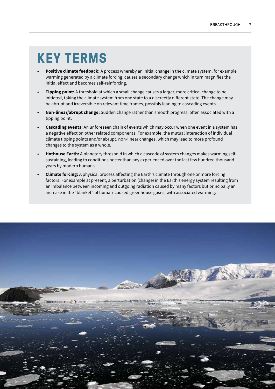# **KEY TERMS**

- Positive climate feedback: A process whereby an initial change in the climate system, for example warming generated by a climate forcing, causes a secondary change which in turn magnifies the initial effect and becomes self-reinforcing.
- **Tipping point:** A threshold at which a small change causes a larger, more critical change to be initiated, taking the climate system from one state to a discreetly different state. The change may be abrupt and irreversible on relevant time frames, possibly leading to cascading events.
- Non-linear/abrupt change: Sudden change rather than smooth progress, often associated with a tipping point.
- Cascading events: An unforeseen chain of events which may occur when one event in a system has a negative effect on other related components. For example, the mutual interaction of individual climate tipping points and/or abrupt, non-linear changes, which may lead to more profound changes to the system as a whole.
- **Hothouse Earth:** A planetary threshold in which a cascade of system changes makes warming selfsustaining, leading to conditions hotter than any experienced over the last few hundred thousand years by modern humans.
- **Climate forcing:** A physical process affecting the Earth's climate through one or more forcing factors. For example at present, a perturbation (change) in the Earth's energy system resulting from an imbalance between incoming and outgoing radiation caused by many factors but principally an increase in the "blanket" of human-caused greenhouse gases, with associated warming.

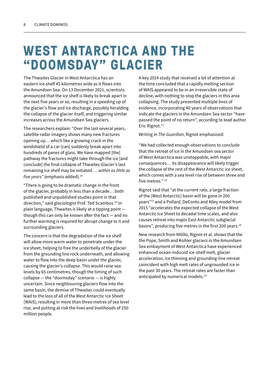# **WEST ANTARCTICA AND THE "DOOMSDAY" GLACIER**

The Thwaites Glacier in West Antarctica has an eastern ice shelf 45 kilometres wide as it flows into the Amundsen Sea. On 13 December 2021, scientists announced that the ice shelf is likely to break apart in the next five years or so, resulting in a speeding up of the glacier's flow and ice discharge, possibly heralding the collapse of the glacier itself, and triggering similar increases across the Amundsen Sea glaciers.

The researchers explain: "Over the last several years, satellite radar imagery shows many new fractures opening up… which like a growing crack in the windshield of a car [can] suddenly break apart into hundreds of panes of glass. We have mapped [the] pathway the fractures might take through the ice [and conclude] the final collapse of Thwaites Glacier's last remaining ice shelf may be initiated … *within as little as five years"* (emphasis added).<sup>19</sup>

"There is going to be dramatic change in the front of the glacier, probably in less than a decade… both published and unpublished studies point in that direction," said glaciologist Prof. Ted Scambos.<sup>20</sup> In plain language, Thwaites is likely at a tipping point though this can only be known after the fact — and no further warming is required for abrupt change to it and surrounding glaciers.

The concern is that the degradation of the ice shelf will allow more warm water to penetrate under the ice sheet, helping to free the underbelly of the glacier from the grounding line rock underneath, and allowing water to flow into the deep basin under the glacier, causing the glacier's collapse. This would raise sea levels by 65 centimetres, though the timing of such collapse — the "doomsday" scenario — is highly uncertain. Since neighbouring glaciers flow into the same basin, the demise of Thwaites could eventually lead to the loss of all of the West Antarctic Ice Sheet (WAIS), resulting in more than three metres of sea level rise, and putting at risk the lives and livelihoods of 250 million people.

A key 2014 study that received a lot of attention at the time concluded that a rapidly melting section of WAIS appeared to be in an irreversible state of decline, with nothing to stop the glaciers in this area collapsing. The study presented multiple lines of evidence, incorporating 40 years of observations that indicate the glaciers in the Amundsen Sea sector "have passed the point of no return", according to lead author Eric Rignot.<sup>21</sup>

Writing in *The Guardian*, Rignot emphasised:

"We had collected enough observations to conclude that the retreat of ice in the Amundsen sea sector of West Antarctica was unstoppable, with major consequences… its disappearance will likely trigger the collapse of the rest of the West Antarctic ice sheet, which comes with a sea level rise of between three and five metres."<sup>22</sup>

Rignot said that "at the current rate, a large fraction of the (West Antarctic) basin will be gone in 200 years"23 and a Pollard, DeConto and Alley model from 2015 "accelerates the expected collapse of the West Antarctic Ice Sheet to decadal time scales, and also causes retreat into major East Antarctic subglacial basins", producing five metres in the first 200 years.<sup>24</sup>

New research from Milillo, Rignot et al. shows that the the Pope, Smith and Kohler glaciers in the Amundsen Sea embayment of West Antarctica have experienced enhanced ocean-induced ice-shelf melt, glacier acceleration, ice thinning and grounding-line retreat coincident with high melt rates of ungrounded ice in the past 30 years. The retreat rates are faster than anticipated by numerical models.<sup>25</sup>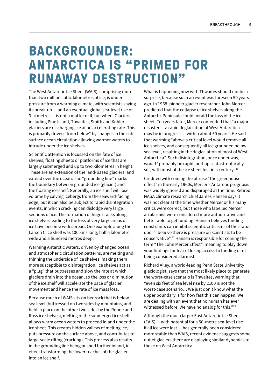### **BACKGROUNDER: ANTARCTICA IS "PRIMED FOR RUNAWAY DESTRUCTION"**

The West Antarctic Ice Sheet (WAIS), comprising more than two million cubic kilometres of ice, is under pressure from a warming climate, with scientists saying its break-up — and an eventual global sea-level rise of 3–4 metres — is not a matter of if, but when. Glaciers including Pine Island, Thwaites, Smith and Kohler glaciers are discharging ice at an accelerating rate. This is primarily driven "from below" by changes in the subsurface ocean circulation allowing warmer waters to intrude under the ice shelves.

Scientific attention is focussed on the fate of ice shelves, floating sheets or platforms of ice that are largely submerged and up to two kilometres in height. These are an extension of the land-based glaciers, and extend over the ocean. The "grounding line" marks the boundary between grounded ice (glacier) and the floating ice shelf. Generally, an ice shelf will lose volume by calving icebergs from the seaward-facing edge, but it can also be subject to rapid disintegration events, in which cracking can dislodge very large sections of ice. The formation of huge cracks along ice shelves leading to the loss of very large areas of ice have become widespread. One example along the Larsen C ice shelf was 100 kms long, half a kilometre wide and a hundred metres deep.

Warming Antarctic waters, driven by changed ocean and atmospheric circulation patterns, are melting and thinning the underside of ice shelves, making them more susceptible to disintegration. Ice shelves act as a "plug" that buttresses and slow the rate at which glaciers drain into the ocean, so the loss or diminution of the ice shelf will accelerate the pace of glacier movement and hence the rate of ice mass loss.

Because much of WAIS sits on bedrock that is below sea level (buttressed on two sides by mountains, and held in place on the other two sides by the Ronne and Ross ice shelves), melting of the submerged ice shelf allows warm ocean waters to proceed inland under the ice sheet. This creates hidden valleys of melting ice, puts pressure on the surface above, and contributes to large-scale rifting (cracking). This process also results in the grounding line being pushed further inland, in effect transforming the lower reaches of the glacier into an ice shelf.

What is happening now with Thwaites should not be a surprise, because such an event was foreseen 50 years ago. In 1968, pioneer glacier researcher John Mercer predicted that the collapse of ice shelves along the Antarctic Peninsula could herald the loss of the ice sheet. Ten years later, Mercer contended that "a major disaster — a rapid deglaciation of West Antarctica may be in progress … within about 50 years".He said that warming "above a critical level would remove all ice shelves, and consequently all ice grounded below sea level, resulting in the deglaciation of most of West Antarctica". Such disintegration, once under way, would "probably be rapid, perhaps catastrophically so", with most of the ice sheet lost in a century. <sup>26</sup>

Credited with coining the phrase "the greenhouse effect" in the early 1960s, Mercer's Antarctic prognosis was widely ignored and disparaged at the time. Retired NASA climate research chief James Hansen says it was not clear at the time whether Mercer or his many critics were correct, but those who labelled Mercer an alarmist were considered more authoritative and better able to get funding. Hansen believes funding constraints can inhibit scientific criticisms of the status quo: "I believe there is pressure on scientists to be conservative".27 Hansen is responsible for coining the term "The John Mercer Effect", meaning to play down your findings for fear of losing access to funding or of being considered alarmist.

Richard Alley, a world-leading Penn State University glaciologist, says that the most likely place to generate the worst-case scenario is Thwaites, warning that "even six feet of sea level rise by 2100 is not the worst-case scenario… We just don't know what the upper boundary is for how fast this can happen. We are dealing with an event that no human has ever witnessed before. We have no analog for this."28

Although the much larger East Antarctic Ice Sheet (EAIS) — with potential for a 50-metre sea-level rise if all ice were lost — has generally been considered more stable than WAIS, recent evidence suggests some outlet glaciers there are displaying similar dynamics to those on West Antarctica.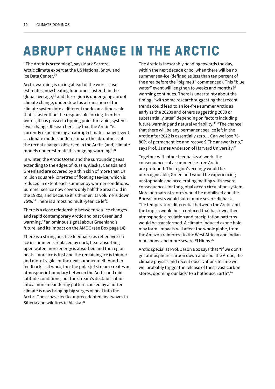# **ABRUPT CHANGE IN THE ARCTIC**

"The Arctic is screaming", says Mark Serreze, Arctic climate expert at the US National Snow and Ice Data Center.29

Arctic warming is racing ahead of the worst-case estimates, now heating four times faster than the global average,<sup>30</sup> and the region is undergoing abrupt climate change, understood as a transition of the climate system into a different mode on a time scale that is faster than the responsible forcing. In other words, it has passed a tipping point for rapid, systemlevel change. Researchers say that the Arctic "is currently experiencing an abrupt climate change event … climate models underestimate the abruptness of the recent changes observed in the Arctic (and) climate models underestimate this ongoing warming".<sup>31</sup>

In winter, the Arctic Ocean and the surrounding seas extending to the edges of Russia, Alaska, Canada and Greenland are covered by a thin skin of more than 14 million square kilometres of floating sea-ice, which is reduced in extent each summer by warmer conditions. Summer sea ice now covers only half the area it did in the 1980s, and because it is thinner, its volume is down 75%.32 There is almost no multi-year ice left.

There is a close relationship between sea-ice changes and rapid contemporary Arctic and past Greenland warming,<sup>33</sup> an ominous signal about Greenland's future, and its impact on the AMOC (see Box page 14).

There is a strong positive feedback: as reflective sea ice in summer is replaced by dark, heat-absorbing open water, more energy is absorbed and the region heats, more ice is lost and the remaining ice is thinner and more fragile for the next summer melt. Another feedback is at work, too: the polar jet stream creates an atmospheric boundary between the Arctic and midlatitude conditions, but the stream's destabilisation into a more meandering pattern caused by a hotter climate is now bringing big surges of heat into the Arctic. These have led to unprecedented heatwaves in Siberia and wildfires in Alaska.<sup>35</sup>

The Arctic is inexorably heading towards the day, within the next decade or so, when there will be no summer sea-ice (defined as less than ten percent of the area before the "big melt" commenced). This "blue water" event will lengthen to weeks and months if warming continues. There is uncertainty about the timing, "with some research suggesting that recent trends could lead to an ice-free summer Arctic as early as the 2020s and others suggesting 2030 or substantially later" depending on factors including future warming and natural variability.<sup>36</sup> "The chance that there will be any permanent sea ice left in the Arctic after 2022 is essentially zero… Can we lose 75- 80% of permanent ice and recover? The answer is no," says Prof. James Anderson of Harvard University.<sup>37</sup>

Together with other feedbacks at work, the consequences of a summer ice-free Arctic are profound. The region's ecology would be unrecognisable, Greenland would be experiencing unstoppable and accelerating melting with severe consequences for the global ocean circulation system. More permafrost stores would be mobilised and the Boreal forests would suffer more severe dieback. The temperature differential between the Arctic and the tropics would be so reduced that basic weather, atmospheric circulation and precipitation patterns would be transformed. A climate-induced ozone hole may form. Impacts will affect the whole globe, from the Amazon rainforest to the West African and Indian monsoons, and more severe El Ninos.<sup>38</sup>

Arctic specialist Prof. Jason Box says that "if we don't get atmospheric carbon down and cool the Arctic, the climate physics and recent observations tell me we will probably trigger the release of these vast carbon stores, dooming our kids' to a hothouse Earth".39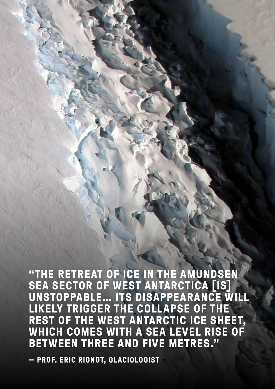**"THE RETREAT OF ICE IN THE AMUNDSEN SEA SECTOR OF WEST ANTARCTICA [IS] UNSTOPPABLE… ITS DISAPPEARANCE WILL LIKELY TRIGGER THE COLLAPSE OF THE REST OF THE WEST ANTARCTIC ICE SHEET, WHICH COMES WITH A SEA LEVEL RISE OF BETWEEN THREE AND FIVE METRES."**

**— PROF. ERIC RIGNOT, GLACIOLOGIST**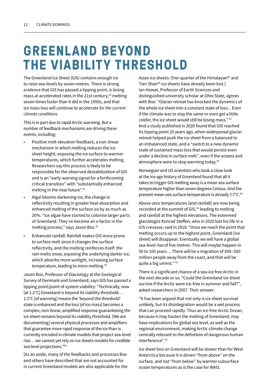# **GREENLAND BEYOND THE VIABILITY THRESHOLD**

The Greenland Ice Sheet (GIS) contains enough ice to raise sea-levels by seven metres. There is strong evidence that GIS has passed a tipping point, is losing mass at accelerated rates in the 21st century,<sup>40</sup> melting seven times faster than it did in the 1990s, and that ice mass loss will continue to accelerate *for the current climate conditions*.

This is in part due to rapid Arctic warming. But a number of feedback mechanisms are driving these events, including:

- Positive melt-elevation feedback, a non-linear mechanism in which melting reduces the ice sheet height, exposing the ice surface to warmer temperatures, which further accelerates melting. Researchers say this process is likely to be responsible for the observed destabilization of GIS and is an "early-warning signal for a forthcoming critical transition" with "substantially enhanced melting in the near future".41
- Algal blooms darkening ice, the change in reflectivity resulting in greater heat absorption and enhanced melting of the surface ice by as much as 20%. "Ice algae have started to colonise larger parts of Greenland. They've become an x-factor in the melting process," says Jason Box.42
- Enhanced rainfall: Rainfall makes GIS more prone to surface melt since it changes the surface reflectivity, and the melting reinforces itself: the rain melts snow, exposing the underlying darker ice, which absorbs more sunlight, increasing surface temperature, leading to more melting.<sup>43</sup>

Jason Box, Professor of Glaciology at the Geological Survey of Denmark and Greenland, says GIS has passed a tipping point/point of system viability: "Technically, now [at 1.2°C] Greenland is beyond its viability threshold... 1.5°C [of warming] means the 'beyond the threshold' state is enhanced and the loss [of ice mass] becomes a complex, non-linear, amplified response guaranteeing the ice sheet remains beyond its viability threshold. [We are documenting] several physical processes and amplifiers that guarantee more rapid response of the ice than is currently encoded in climate models that project sea-level rise… we cannot yet rely on ice sheets models for credible sea level projections."44

[As an aside, many of the feedbacks and processes Box and others have described that are not accounted for in current Greenland models are also applicable for the

Asian ice sheets: One-quarter of the Himalayan<sup>45</sup> and Tien Shan<sup>46</sup> ice sheets have already been lost.] Ian Howat, Professor of Earth Sciences and distinguished university scholar at Ohio State, agrees with Box: "Glacier retreat has knocked the dynamics of the whole ice sheet into a constant state of loss... Even if the climate was to stay the same or even get a little colder, the ice sheet would still be losing mass." 47 And a study published in 2020 found that GIS reached its tipping point 20 years ago, when widespread glacier retreat helped push the ice sheet from a balanced to an imbalanced state, and a "switch to a new dynamic state of sustained mass loss that would persist even under a decline in surface melt", even if the oceans and atmosphere were to stop warming today.48

Norwegian and US scientists who took a close look at the ice age history of Greenland found that all it takes to trigger GIS melting away is a mean sea surface temperature higher than seven degrees Celsius. And the present mean sea surface temperature is already 7.7°C.49

Above-zero temperatures (and rainfall) are now being recorded at the summit of GIS,<sup>50</sup> leading to melting and rainfall at the highest elevations. The esteemed glaciologist Konrad Steffen, who in 2020 lost his life in a GIS crevasse, said in 2018: "Once we reach the point that melting occurs up to the highest point, Greenland [ice sheet] will disappear. Eventually we will have a global sea-level rise of five metres. This will maybe happen in 50 to 100 years… There will be a migration of 300–500 million people away from the coast, and that will be quite a big unrest." 51

There is a significant chance of a sea-ice free Arctic in the next decade or so. "Could the Greenland ice sheet survive if the Arctic were ice-free in summer and fall?", asked researchers in 2007. Their answer:

"It has been argued that not only is ice sheet survival unlikely, but its disintegration would be a wet process that can proceed rapidly. Thus an ice-free Arctic Ocean, because it may hasten the melting of Greenland, may have implications for global sea level, as well as the regional environment, making Arctic climate change centrally relevant to the definition of dangerous human interference".52

Ice sheet loss on Greenland will be slower than for West Antarctica because it is driven "from above" on the surface, and not "from below" by warmer subsurface ocean temperatures as is the case for WAIS.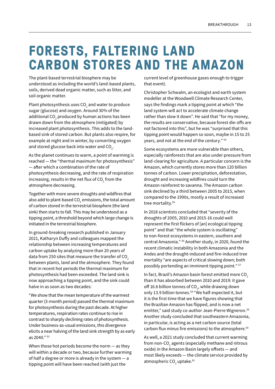# **FORESTS, FALTERING LAND CARBON STORES AND THE AMAZON**

The plant-based terrestrial biosphere may be understood as including the world's land-based plants, soils, derived dead organic matter, such as litter, and soil organic matter.

Plant photosynthesis uses CO $_{\rm 2}$  and water to produce sugar (glucose) and oxygen. Around 30% of the additional CO $_{\rm _2}$  produced by human actions has been drawn down from the atmosphere (mitigated) by increased plant photosynthesis. This adds to the landbased sink of stored carbon. But plants also respire, for example at night and in winter, by converting oxygen and stored glucose back into water and CO $_{_2}$ .

As the planet continues to warm, a point of warming is reached — the "thermal maximum for photosynthesis" — after which a combination of the rate of photosynthesis decreasing, and the rate of respiration increasing, results in the net flux of CO $_{_2}$  from the atmosphere decreasing.

Together with more severe droughts and wildfires that also add to plant-based CO $_{\textrm{\tiny{2}}}$  emissions, the total amount of carbon stored in the terrestrial biosphere (the land sink) then starts to fall. This may be understood as a tipping point, a threshold beyond which large change is initiated in the terrestrial biosphere.

In ground-breaking research published in January 2021, Katharyn Duffy and colleagues mapped the relationship between increasing temperatures and carbon uptake by analyzing more than 20 years of data from 250 sites that measure the transfer of  $CO<sub>2</sub>$ between plants, land and the atmosphere. They found that in recent hot periods the thermal maximum for photosynthesis had been exceeded. The land sink is now approaching a tipping point, and the sink could halve in as soon as two decades:

"We show that the mean temperature of the warmest quarter (3-month period) passed the thermal maximum for photosynthesis during the past decade. At higher temperatures, respiration rates continue to rise in contrast to sharply declining rates of photosynthesis. Under business-as-usual emissions, this divergence elicits a near halving of the land sink strength by as early as 2040." 53

When those hot periods become the norm — as they will within a decade or two, because further warming of half a degree or more is already in the system — a tipping point will have been reached (with just the

current level of greenhouse gases enough to trigger that event).

Christopher Schwalm, an ecologist and earth system modeller at the Woodwell Climate Research Center, says the findings mark a tipping point at which "the land system will act to accelerate climate change rather than slow it down". He said that "for my money, the results are conservative, because forest die-offs are not factored into this", but he was "surprised that this tipping point would happen so soon, maybe in 15 to 25 years, and not at the end of the century." 54

Some ecosystems are more vulnerable than others, especially rainforests that are also under pressure from land-clearing for agriculture. A particular concern is the Amazon, which currently stores more than 120 billion tonnes of carbon. Lower precipitation, deforestation, drought and increasing wildfires could turn the Amazon rainforest to savanna. The Amazon carbon sink declined by a third between 2005 to 2015, when compared to the 1990s, mostly a result of increased tree mortality.<sup>55</sup>

In 2018 scientists concluded that "severity of the droughts of 2005, 2010 and 2015-16 could well represent the first flickers of [an] ecological tipping point" and that "the whole system is oscillating" to non-forest ecosystems in eastern, southern and central Amazonia." 56 Another study, in 2020, found the recent climatic instability in both Amazonia and the Andes and the drought-induced and fire-induced tree mortality "are aspects of critical slowing down; both possibly portending an imminent tipping point." 57

In fact, Brazil's Amazon basin forest emitted more CO<sub>2</sub> than it has absorbed between 2010 and 2019: it gave off 16.6 billion tonnes of CO<sub>2</sub>, while drawing down only 13.9 billion tonnes.<sup>58</sup> "We half-expected it, but it is the first time that we have figures showing that the Brazilian Amazon has flipped, and is now a net emitter," said study co-author Jean-Pierre Wigneron.<sup>59</sup> Another study concluded that southeastern Amazonia, in particular, is acting as a net carbon source (total carbon flux minus fire emissions) to the atmosphere.<sup>60</sup>

As well, a 2021 study concluded that current warming from non-CO $_2$  agents (especially methane and nitrous oxide) in the Amazon Basin largely offsets — and most likely exceeds — the climate service provided by atmospheric CO<sub>2</sub> uptake.<sup>61</sup>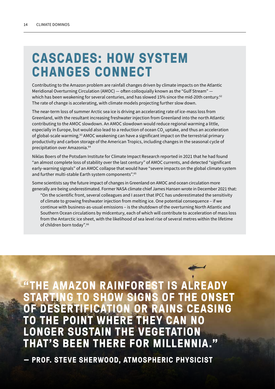# **CASCADES: HOW SYSTEM CHANGES CONNECT**

Contributing to the Amazon problem are rainfall changes driven by climate impacts on the Atlantic Meridional Overturning Circulation (AMOC) — often colloquially known as the "Gulf Stream" which has been weakening for several centuries, and has slowed 15% since the mid-20th century.<sup>62</sup> The rate of change is accelerating, with climate models projecting further slow down.

The near-term loss of summer Arctic sea ice is driving an accelerating rate of ice-mass loss from Greenland, with the resultant increasing freshwater injection from Greenland into the north Atlantic contributing to the AMOC slowdown. An AMOC slowdown would reduce regional warming a little, especially in Europe, but would also lead to a reduction of ocean CO<sub>2</sub> uptake, and thus an acceleration of global-scale warming.63 AMOC weakening can have a significant impact on the terrestrial primary productivity and carbon storage of the American Tropics, including changes in the seasonal cycle of precipitation over Amazonia.64

Niklas Boers of the Potsdam Institute for Climate Impact Research reported in 2021 that he had found "an almost complete loss of stability over the last century" of AMOC currents, and detected "significant early-warning signals" of an AMOC collapse that would have "severe impacts on the global climate system and further multi-stable Earth system components".<sup>65</sup>

Some scientists say the future impact of changes in Greenland on AMOC and ocean circulation more generally are being underestimated. Former NASA climate chief James Hansen wrote in December 2021 that:

"On the scientific front, several colleagues and I assert that IPCC has underestimated the sensitivity of climate to growing freshwater injection from melting ice. One potential consequence – if we continue with business-as-usual emissions – is the shutdown of the overturning North Atlantic and Southern Ocean circulations by midcentury, each of which will contribute to acceleration of mass loss from the Antarctic ice sheet, with the likelihood of sea level rise of several metres within the lifetime of children born today".66

**"THE AMAZON RAINFOREST IS ALREADY STARTING TO SHOW SIGNS OF THE ONSET OF DESERTIFICATION OR RAINS CEASING TO THE POINT WHERE THEY CAN NO LONGER SUSTAIN THE VEGETATION THAT'S BEEN THERE FOR MILLENNIA."**

**— PROF. STEVE SHERWOOD, ATMOSPHERIC PHYSICIST**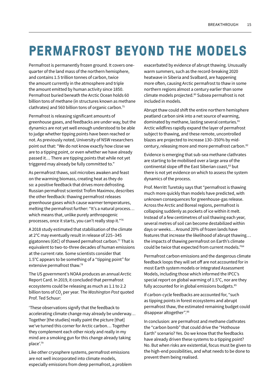# **PERMAFROST BEYOND THE MODELS**

Permafrost is permanently frozen ground. It covers onequarter of the land mass of the northern hemisphere, and contains 1.5 trillion tonnes of carbon, twice the amount currently in the atmosphere and triple the amount emitted by human activity since 1850. Permafrost buried beneath the Arctic Ocean holds 60 billion tons of methane (in structures known as methane clathrates) and 560 billion tons of organic carbon.75

Permafrost is releasing significant amounts of greenhouse gases, and feedbacks are under way, but the dynamics are not yet well enough understood to be able to judge whether tipping points have been reached or not. As previously noted, University of NSW researchers point out that: "We do not know exactly how close we are to a tipping point, or even whether we have already passed it… There are tipping points that while not yet triggered may already be fully committed to."

As permafrost thaws, soil microbes awaken and feast on the warming biomass, creating heat as they do so: a positive feedback that drives more defrosting. Russian permafrost scientist Trofim Maximov, describes the other feedback: thawing permafrost releases greenhouse gases which cause warmer temperatures, melting the permafrost further: "It's a natural process… which means that, unlike purely anthropogenic processes, once it starts, you can't really stop it."76

A 2018 study estimated that stabilisation of the climate at 2°C may eventually result in release of 225–345 gigatonnes (GtC) of thawed permafrost carbon.77 That is equivalent to two-to-three decades of human emissions at the current rate. Some scientists consider that 1.5°C appears to be something of a "tipping point" for extensive permafrost thaw.78

The US government's NOAA produces an annual Arctic Report Card. In 2019, it concluded that permafrost ecosystems could be releasing as much as 1.1 to 2.2 billion tons of CO<sub>2</sub> per year. The *Washington Post* quoted Prof. Ted Schuur:

'These observations signify that the feedback to accelerating climate change may already be underway… Together [the studies] really paint the picture [that] we've turned this corner for Arctic carbon… Together they complement each other nicely and really in my mind are a smoking gun for this change already taking place'.79

Like other cryosphere systems, permafrost emissions are not well incorporated into climate models, especially emissions from deep permafrost, a problem exacerbated by evidence of abrupt thawing. Unusually warm summers, such as the record-breaking 2020 heatwave in Siberia and Svalbard, are happening more often, causing Arctic permafrost to thaw in some northern regions almost a century earlier than some climate models projected.80 Subsea permafrost is not included in models.

Abrupt thaw could shift the entire northern hemisphere peatland carbon sink into a net source of warming, dominated by methane, lasting several centuries.<sup>81</sup> Arctic wildfires rapidly expand the layer of permafrost subject to thawing, and these remote, uncontrolled blazes are projected to increase 130–350% by midcentury, releasing more and more permafrost carbon.<sup>82</sup>

Evidence is emerging that sub-sea methane clathrates are starting to be mobilised over a large area of the continental slope off the East Siberian coast,<sup>83</sup> but there is not yet evidence on which to assess the system dynamics of the process.

Prof. Merritt Turetsky says that "permafrost is thawing much more quickly than models have predicted, with unknown consequences for greenhouse-gas release. Across the Arctic and Boreal regions, permafrost is collapsing suddenly as pockets of ice within it melt. Instead of a few centimetres of soil thawing each year, several metres of soil can become destabilized within days or weeks… Around 20% of frozen lands have features that increase the likelihood of abrupt thawing… the impacts of thawing permafrost on Earth's climate could be twice that expected from current models."84

Permafrost carbon emissions and the dangerous climate feedback loops they will set off are not accounted for in most Earth system models or Integrated Assessment Models, including those which informed the IPCC's special report on global warming of 1.5°C, nor are they fully accounted for in global emissions budgets.<sup>85</sup>

If carbon-cycle feedbacks are accounted for, "such as tipping points in forest ecosystems and abrupt permafrost thaw, the estimated remaining budget could disappear altogether".86

In conclusion: are permafrost and methane clathrates the "carbon bomb" that could drive the "Hothouse Earth" scenario? Yes. Do we know that the feedbacks have already driven these systems to a tipping point? No. But when risks are existential, focus must be given to the high-end possibilities, and what needs to be done to prevent them being realised.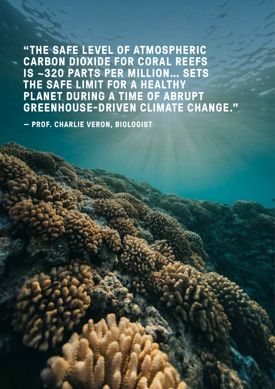**"THE SAFE LEVEL OF ATMOSPHERIC CARBON DIOXIDE FOR CORAL REEFS IS ~320 PARTS PER MILLION… SETS THE SAFE LIMIT FOR A HEALTHY PLANET DURING A TIME OF ABRUPT GREENHOUSE-DRIVEN CLIMATE CHANGE."**

**— PROF. CHARLIE VERON, BIOLOGIST**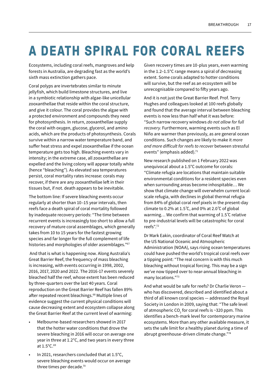# **A DEATH SPIRAL FOR CORAL REEFS**

Ecosystems, including coral reefs, mangroves and kelp forests in Australia, are degrading fast as the world's sixth mass extinction gathers pace.

Coral polyps are invertebrates similar to minute jellyfish, which build limestone structures, and live in a symbiotic relationship with algae-like unicellular zooxanthellae that reside within the coral structure, and give it colour. The coral provides the algae with a protected environment and compounds they need for photosynthesis. In return, zooxanthellae supply the coral with oxygen, glucose, glycerol, and amino acids, which are the products of photosynthesis. Corals survive within a narrow water temperature band, and suffer heat stress and expel zooxanthellae if the ocean temperature gets too high. Bleaching events vary in intensity; in the extreme case, all zooxanthellae are expelled and the living colony will appear totally white (hence "bleaching"). As elevated sea temperatures persist, coral mortality rates increase: corals may recover, if there are any zooxanthellae left in their tissues but, if not. death appears to be inevitable.

The bottom line: If severe bleaching events occur regularly at shorter than 10–15 year intervals, then reefs face a death spiral of coral mortality followed by inadequate recovery periods: "The time between recurrent events is increasingly too short to allow a full recovery of mature coral assemblages, which generally takes from 10 to 15 years for the fastest growing species and far longer for the full complement of life histories and morphologies of older assemblages."67

 And that is what is happening now. Along Australia's Great Barrier Reef, the frequency of mass bleaching is increasing, with events occurring in 1998, 2002, 2016, 2017, 2020 and 2022. The 2016-17 events severely bleached half the reef, whose extent has been reduced by three-quarters over the last 40 years. Coral reproduction on the Great Barrier Reef has fallen 89% after repeated recent bleachings.<sup>68</sup> Multiple lines of evidence suggest the current physical conditions will cause decreasing extent and ecosystem collapse along the Great Barrier Reef at the current level of warming:

- Melbourne-based researchers showed in 2017 that the hotter water conditions that drove the severe bleaching in 2016 will occur on average one year in three at 1.2°C, and two years in every three at 1.5°C.69
- In 2021, researchers concluded that at 1.5°C, severe bleaching events would occur on average three times per decade.70

Given recovery times are 10-plus years, even warming in the 1.2–1.5°C range means a spiral of decreasing extent. Some corals adapted to hotter conditions will survive, but the reef as an ecosystem will be unrecognisable compared to fifty years ago.

And it is not just the Great Barrier Reef. Prof. Terry Hughes and colleagues looked at 100 reefs globally and found that the average interval between bleaching events is now less than half what it was before: "Such narrow recovery windows *do not allow for full recovery.* Furthermore, warming events such as El Niño are warmer than previously, as are general ocean conditions. Such changes are likely to make it *more and more difficult for reefs to recover* between stressful events" (emphasis added).<sup>71</sup>

New research published on 1 February 2022 was unequivocal about a 1.5°C outcome for corals: "Climate refugia are locations that maintain suitable environmental conditions for a resident species even when surrounding areas become inhospitable… We show that climate change will overwhelm current localscale refugia, with declines in global thermal refugia from 84% of global coral reef pixels in the present-day climate to 0.2% at 1.5°C, and 0% at 2.0°C of global warming… We confirm that warming of 1.5 ̊C relative to pre-industrial levels will be catastrophic for coral reefs".72

Dr Mark Eakin, coordinator of Coral Reef Watch at the US National Oceanic and Atmospheric Administration (NOAA), says rising ocean temperatures could have pushed the world's tropical coral reefs over a tipping point: "The real concern is with this much bleaching without tropical forcing. This may be a sign we've now tipped over to near-annual bleaching in many locations."73

And what would be safe for reefs? Dr Charlie Veron who has discovered, described and identified about a third of all known coral species — addressed the Royal Society in London in 2009, saying that: "The safe level of atmospheric CO<sub>2</sub> for coral reefs is ~320 ppm. This identifies a bench-mark level for contemporary marine ecosystems. More than any other available measure, it sets the safe limit for a healthy planet during a time of abrupt greenhouse-driven climate change."74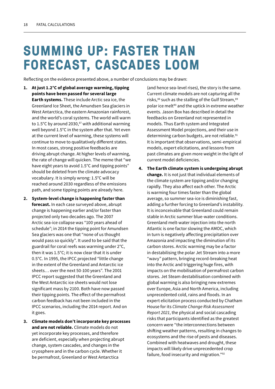# **SUMMING UP: FASTER THAN FORECAST, CASCADES LOOM**

Reflecting on the evidence presented above, a number of conclusions may be drawn:

- 1. At just 1.2°C of global average warming, tipping points have been passed for several large Earth systems. These include Arctic sea ice, the Greenland Ice Sheet, the Amundsen Sea glaciers in West Antarctica, the eastern Amazonian rainforest, and the world's coral systems. The world will warm to 1.5°C by around 2030, $87$  with additional warming well beyond 1.5°C in the system after that. Yet even at the current level of warming, these systems will continue to move to qualitatively different states. In most cases, strong positive feedbacks are driving abrupt change. At higher levels of warming, the rate of change will quicken. The meme that "we have eight years to avoid 1.5°C and tipping points" should be deleted from the climate advocacy vocabulary. It is simply wrong: 1.5°C will be reached around 2030 regardless of the emissions path, and some tipping points are already here.
- 2. System-level change is happening faster than forecast. In each case surveyed above, abrupt change is happening earlier and/or faster than projected only two decades ago. The 2007 Arctic sea-ice collapse was "100 years ahead of schedule"; in 2014 the tipping point for Amundsen Sea glaciers was one that "none of us thought would pass so quickly". It used to be said that the guardrail for coral reefs was warming under 2°C, then it was 1.5°C; it is now clear that it is under 0.5°C. In 1995, the IPCC projected "little change in the extent of the Greenland and Antarctic ice sheets… over the next 50-100 years". The 2001 IPCC report suggested that the Greenland and the West Antarctic ice sheets would not lose significant mass by 2100. Both have now passed their tipping points. The effect of the permafrost carbon feedback has not been included in the IPCC scenarios, including the 2014 report. And on it goes.
- 3. Climate models don't incorporate key processes and are not reliable. Climate models do not yet incorporate key processes, and therefore are deficient, especially when projecting abrupt change, system cascades, and changes in the cryosphere and in the carbon cycle. Whether it be permafrost, Greenland or West Antarctica

(and hence sea-level rises), the story is the same. Current climate models are not capturing all the risks,88 such as the stalling of the Gulf Stream,89 polar ice melt<sup>90</sup> and the uptick in extreme weather events. Jason Box has described in detail the feedbacks on Greenland not represented in models. Thus Earth system and Integrated Assessment Model projections, and their use in determining carbon budgets, are not reliable.<sup>91</sup> It is important that observations, semi-empirical models, expert elicitations, and lessons from past climates are given more weight in the light of current model deficiencies.

4. The Earth climate system is undergoing abrupt change. It is not just that individual elements of the climate system are tipping and/or changing rapidly. They also affect each other. The Arctic is warming four times faster than the global average, so summer sea-ice is diminishing fast, adding a further forcing to Greenland's instability. It is inconceivable that Greenland could remain stable in Arctic summer blue-water conditions. Greenland melt-water injection into the north Atlantic is one factor slowing the AMOC, which in turn is negatively affecting precipitation over Amazonia and impacting the diminution of its carbon stores. Arctic warming may be a factor in destabilising the polar Jet Stream into a more "wavy" pattern, bringing record-breaking heat into the Arctic and triggering huge fires, with impacts on the mobilisation of permafrost carbon stores. Jet Steam destabilisation combined with global warming is also bringing new extremes over Europe, Asia and North America, including unprecedented cold, rains and floods. In an expert elicitation process conducted by Chatham House for its *Climate Change Risk Assessment Report 2021*, the physical and social cascading risks that participants identified as the greatest concern were "the interconnections between shifting weather patterns, resulting in changes to ecosystems and the rise of pests and diseases. Combined with heatwaves and drought, these impacts will likely drive unprecedented crop failure, food insecurity and migration."92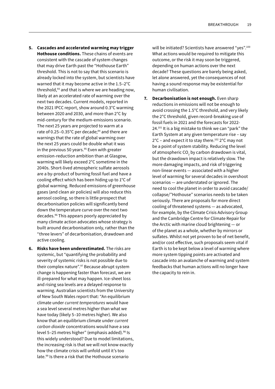- 5. Cascades and accelerated warming may trigger Hothouse conditions. These chains of events are consistent with the cascade of system changes that may drive Earth past the "Hothouse Earth" threshold. This is not to say that this scenario is already locked into the system, but scientists have warned that it may become active in the 1.5–2°C threshold,93 and that is where we are heading now, likely at an accelerated rate of warming over the next two decades. Current models, reported in the 2021 IPCC report, show around 0.3°C warming between 2020 and 2030, and more than 2°C by mid-century for the medium-emissions scenario. The next 25 years are projected to warm at a rate of 0.25-0.35°C per decade; $94$  and there are warnings that the rate of global warming over the next 25 years could be double what it was in the previous 50 years. $95$  Even with greater emission-reduction ambition than at Glasgow, warming will likely exceed 2°C sometime in the 2040s. Short-lived atmospheric sulfate aerosols are a by-product of burning fossil fuel and have a cooling effect which has been hiding up to 1°C of global warming. Reduced emissions of greenhouse gases (and clean air policies) will also reduce this aerosol cooling, so there is little prospect that decarbonisation policies will significantly bend down the temperature curve over the next two decades.96 This appears poorly appreciated by many climate action advocates whose strategy is built around decarbonisation only, rather than the "three levers" of decarbonisation, drawdown and active cooling.
- 6. Risks have been underestimated. The risks are systemic, but "quantifying the probability and severity of systemic risks is not possible due to their complex nature".<sup>97</sup> Because abrupt system change is happening faster than forecast, we are ill-prepared for what may happen. Ice-sheet loss and rising sea levels are a delayed response to warming. Australian scientists from the University of New South Wales report that: "An equilibrium climate under *current temperatures* would have a sea level several metres higher than what we have today (likely 5–10 metres higher). We also know that an equilibrium climate under *current carbon dioxide* concentrations would have a sea level 5-25 metres higher" (emphasis added).<sup>98</sup> Is this widely understood? Due to model limitations, the increasing risk is that we will not know exactly how the climate crisis will unfold until it's too late.99 Is there a risk that the Hothouse scenario

will be initiated? Scientists have answered "yes".<sup>100</sup> What actions would be required to mitigate this outcome, or the risk it may soon be triggered, depending on human actions over the next decade? These questions are barely being asked, let alone answered, yet the consequences of not having a sound response may be existential for human civilisation.

7. Decarbonisation is not enough. Even sharp reductions in emissions will not be enough to avoid crossing the 1.5°C threshold, and very likely the 2°C threshold, given record-breaking use of fossil fuels in 2021 and the forecasts for 2022- 24.101 It is a big mistake to think we can "park" the Earth System at any given temperature rise – say 2°C – and expect it to stay there.102 2°C may not be a point of system stability. Reducing the level of atmospheric CO<sub>2</sub> by carbon drawdown is vital, but the drawdown impact is relatively slow. The more damaging impacts, and risk of triggering non-linear events — associated with a higher level of warming for several decades in overshoot scenarios — are understated or ignored. The need to cool the planet in order to avoid cascade/ collapse/"Hothouse" scenarios needs to be taken seriously. There are proposals for more direct cooling of threatened systems — as advocated, for example, by the Climate Crisis Advisory Group and the Cambridge Centre for Climate Repair for the Arctic with marine cloud brightening — or of the planet as a whole, whether by mirrors or sulfates. Whilst not yet proven to be of net benefit, and/or cost effective, such proposals seem vital if Earth is to be kept below a level of warming where more system tipping points are activated and cascade into an avalanche of warming and system feedbacks that human actions will no longer have the capacity to rein in.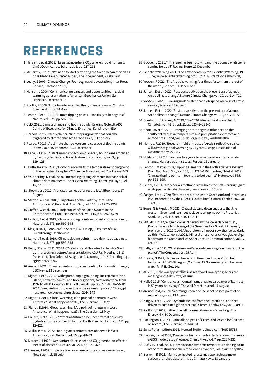### **REFERENCES**

- 1 Hansen, J et al. 2008, 'Target atmosphere  $\text{CO}_2$ : Where should humanity aim?', Open Atmos. Sci. J., vol. 2, pp. 217–231
- 2 McCarthy, D 2021, 'We need to start refreezing the Arctic Ocean as soon as possible to save our megacities', The Independent, 8 February.
- 3 Leahy, S 2009, 'Climate Change: Four degrees of devastation', Inter Press Service, 9 October 2009,
- 4 Hansen, J 2006, 'Communicating dangers and opportunities in global warming', presentation to American Geophysical Union, San Francisco, December 14
- 5 Spotts, P 2006, 'Little time to avoid big thaw, scientists warn', Christian Science Monitor, 24 March
- 6 Lenton, T et al. 2019, 'Climate tipping points too risky to bet against', Nature, vol. 575, pp. 592–595
- 7 CLEX 2021, Climate change and tipping points, Briefing Note 18, ARC Centre of Excellence for Climate Extremes, Kensington NSW
- 8 Carbon Brief 2020, 'Explainer: Nine "tipping points" that could be triggered by climate change', Carbon Brief, 10 February
- 9 Pearce, F 2019, 'As climate change worsens, a cascade of tipping points looms', YaleEnvironment360, 5 December
- 10 Lade, SJ et al. 2020, 'Human impacts on planetary boundaries amplified by Earth system interactions', Nature Sustainability, vol. 3, pp. 119–128
- 11 Duffy, KA et al. 2021, 'How close are we to the temperature tipping point of the terrestrial biosphere?', Science Advances, vol. 7, art. eaay1052
- 12 Wunderling, N et al. 2020, 'Interacting tipping elements increase risk of climate domino effects under global warming', Earth Syst. Dyn., vol. 12, pp. 601–619
- 13 Bloomberg 2012, 'Arctic sea ice heads for record low', Bloomberg, 17 August
- 14 Steffen, W et al. 2018, 'Trajectories of the Earth System in the Anthropocene', Proc. Nat. Acad. Sci., vol. 115, pp. 8252–8259
- 15 Steffen, W et al. 2018, 'Trajectories of the Earth System in the Anthropocene', Proc. Nat. Acad. Sci., vol. 115, pp. 8252–8259
- 16 Lenton, T et al. 2019, 'Climate tipping points too risky to bet against', Nature, vol. 575, pp. 592–595
- 17 King, D 2021, 'Foreword' in Spratt, D & Dunlop, I, Degrees of risk, Breakthrough, Melbourne
- 18 Lenton, T et al. 2019, 'Climate tipping points too risky to bet against', Nature, vol. 575, pp. 592–595
- 19 Petit, EC et al. 2021, 'C34A-07 Collapse of Thwaites Eastern Ice Shelf by intersecting fractures', presentation to AGU Fall Meeting, 13-17 December, New Orleans LA, agu.confex.com/agu/fm21/meetingapp. cgi/Paper/978762
- 20 Amos, J 2021, 'Thwaites: Antarctic glacier heading for dramatic change', BBC News, 13 December
- 21 Rignot, E et al. 2014, 'Widespread, rapid grounding line retreat of Pine Island, Thwaites, Smith, and Kohler glaciers, West Antarctica, from 1992 to 2011', Geophys. Res. Lett., vol. 41, pp. 3502–3509; NASA JPL 2014, 'West Antarctic glacier loss appears unstoppable', 12 May, jpl. nasa.gov/news/news.php?release=2014-148
- 22 Rignot, E 2014, 'Global warming: It's a point of no return in West Antarctica. What happens next?', The Guardian, 18 May
- 23 Rignot, E 2014, 'Global warming: it's a point of no return in West Antarctica. What happens next?', The Guardian, 18 May
- 24 Pollard, D et al. 2015, 'Potential Antarctic Ice Sheet retreat driven by hydrofracturing and ice cliff failure', Earth Plan. Sci. Lett., vol. 412, pp. 12–121
- 25 Milillo, P et al. 2022, 'Rapid glacier retreat rates observed in West Antarctica', Nat. Geosci., vol. 15, pp. 48–53
- 26 Mercer, JH 1978, 'West Antarctic ice sheet and CO $_{\tiny 2}$  greenhouse effect: a threat of disaster"', Nature, vol. 271. pp. 321–325
- 27 Hansen, J 2007, 'Huge sea level rises are coming unless we act now', New Scientist, 25 July
- 28 Goodell, J 2021, '''The fuse has been blown", and the doomsday glacier is coming for us all', Rolling Stone, 29 December
- 29 ScientistsWarning 2021, 'The Arctic death spiral', ScientistsWarning, 19 June, www.scientistswarning.org/2022/01/12/arctic-death-spiral/
- 30 Voosen, P 2021, 'The Arctic is warming four times faster than the rest of the world', Science, 14 December
- 31 Jansen, E et al. 2020, 'Past perspectives on the present era of abrupt Arctic climate change', Nature Climate Change, vol. 10, pp. 714–721
- 32 Voosen, P 2020, 'Growing underwater heat blob speeds demise of Arctic sea ice', Science, 25 August
- 33 Jansen, E et al. 2020, 'Past perspectives on the present era of abrupt Arctic climate change', Nature Climate Change, vol. 10, pp. 714–721
- 34 Overland, JE & Wang, M 2020, 'The 2020 Siberian heat wave', Int. J. Climatol., vol. 41 (Suppl. 1), pp. E2341–E2346.
- 35 Bhatt, US et al. 2019, 'Emerging anthropogenic influences on the southcentral alaska temperature and precipitation extremes and related fires', Land, vol. 10, doi.org/10.3390/land10010082
- 36 Monroe, R 2019, 'Research highlight: Loss of Arctic's reflective sea ice will advance global warming by 25 years', Scripps Institution of Oceanography, 22 July
- 37 McMahon, J 2018, 'We have five years to save ourselves from climate change, Harvard scientist says', Forbes, 15 January
- 38 Lenton, TM et al. 2008, 'Tipping elements in the Earth's climate system', Proc. Nat. Acad. Sci., vol. 105, pp. 1786–1793; Lenton, TM et al. 2019, 'Climate tipping points — too risky to bet against', Nature, vol. 575, pp. 592–595.
- 39 Seidel, J 2014, 'Are Siberia's methane blow-holes the first warning sign of unstoppable climate change?', news.com.au, 30 July
- 40 Sasgen, I et al. 2020, 'Return to rapid ice loss in Greenland and record loss in 2019 detected by the GRACE-FO satellites', Comm. Earth & Env., vol. 1, art. 8
- 41 Boers, N & Rypdal, M 2021, 'Critical slowing down suggests that the western Greenland ice sheet is close to a tipping point', Proc. Nat. Acad. Sci., vol. 118, art. e2024192118
- 42 PROMICE 2022, 'Algae blooms: "I never saw the ice as dark as this"', Programme for Monitoring of the Greenland Ice Sheet, 22 January, promice.org/2022/01/05/algae-blooms-i-never-saw-the-ice-as-darkas-this; McCutcheon, J 2022, 'Mineral phosphorus drives glacier algal blooms on the Greenland Ice Sheet', Nature Communications, vol. 12, art. 570
- 43 Hallgren, W 2021, 'What Greenland's record-breaking rain means for the planet', The Conversation, 25 April
- 44 Breeze, N 2021, 'Professor Jason Box | Greenland today & [not for] tomorrow #COP26Glasgow', YouTube, 12 November, youtube.com/ watch?v=P6LrGetz10g
- 45 AP 2019, 'Cold War spy satellite images show Himalayan glaciers are melting fast', ABC News, 20 June
- 46 Nail, G 2015, 'Central Asia mountain range has lost a quarter of ice mass in 50 years, study says', The Wall Street Journal, 17 August
- 47 Arenschield, A 2020, 'Warming Greenland ice sheet passes point of no return', phys.org, 13 August
- 48 King, MD et al. 2020, 'Dynamic ice loss from the Greenland Ice Sheet driven by sustained glacier retreat', Comm. Earth & Env., vol. 1, art. 1
- 49 Radford, T 2019, 'Little time left to arrest Greenland's melting', The Energy Mix, 30 December
- 50 Carrington, D 2020, 'Rain falls on peak of Greenland ice cap for first time on record', The Guardian, 20 August
- 51 Swiss Polar Institute 2018, 'Konrad Steffen', vimeo.com/306055715
- 52 Hansen, J et al 2007, 'Dangerous human-made interference with climate: a GISS modelE study', Atmos. Chem. Phys., vol. 7, pp. 2287–231
- 53 Duffy, KA et al. 2021, 'How close are we to the temperature tipping point of the terrestrial biosphere?', Science Advances, vol. 7, art. eaay1052
- 54 Berwyn, B 2021, 'Many overheated forests may soon release more carbon than they absorb', Inside Climate News, 13 January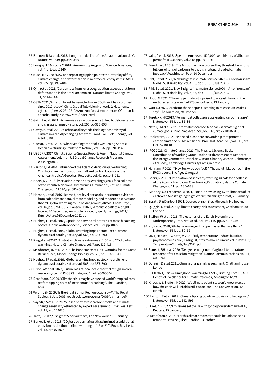- 55 Brienen, RJW et al. 2015, 'Long-term decline of the Amazon carbon sink', Nature, vol. 519, pp. 344–348
- 56 Lovejoy, TE & Nobre C 2018, 'Amazon tipping point', Science Advances, vol. 4, art. eaat2340
- 57 Bush, MB 2020, 'New and repeating tipping points: the interplay of fire, climate change, and deforestation in neotropical ecosystems', AMBG, vol 105, pp. 393–404
- 58 Qin, Yet al. 2021, 'Carbon loss from forest degradation exceeds that from deforestation in the Brazilian Amazon', Nature Climate Change, vol. 11, pp 442–448
- 59  $\,$  CGTN 2021, 'Amazon forest has emitted more CO $_{_2}$ than it has absorbed since 2010: study', China Global Television Network, 2 May, news. cgtn.com/news/2021-05-02/Amazon-forest-emits-more-CO<sub>2</sub>-than-itabsorbs-study-ZVGWXyKtnG/index.html
- 60 Gatti, L et al. 2021, 'Amazonia as a carbon source linked to deforestation and climate change', Nature, vol. 595, pp 388-393.
- 61 Covey, K. et al. 2021, 'Carbon and beyond: The biogeochemistry of climate in a rapidly changing Amazon', Front. For. Glob. Change, vol. 4, art. 618401
- 62 Caesar, L, et al. 2018, 'Observed fingerprint of a weakening Atlantic Ocean overturning circulation', Nature, vol. 556, pp. 191–196
- 63 USGCRP, 2017, Climate Science Special Report: Fourth National Climate Assessment, Volume I, US Global Change Research Program, Washington, DC
- 64 Parsons, LA 2014, 'Influence of the Atlantic Meridional Overturning Circulation on the monsoon rainfall and carbon balance of the American tropics', Geophys. Res. Lett., vol. 41, pp. 146–151
- 65 Boers, N 2021, 'Observation-based early-warning signals for a collapse of the Atlantic Meridional Overturning Circulation', Nature Climate Change, vol. 11 680, pp. 680–688
- 66 Hansen, J et al. 2016, 'Ice melt, sea level rise and superstorms: evidence from paleoclimate data, climate modeling, and modern observations that 2°C global warming could be dangerous', Atmos. Chem. Phys., vol. 16, pp. 3761–3812; Hansen, J 2021, 'A realistic path to a bright future', 20 December, www.columbia.edu/~jeh1/mailings/2021/ BrightFuture.03December2021.pdf
- 67 Hughes, TP et al. 2018, 'Spatial and temporal patterns of mass bleaching of corals in the Anthropocene', Science, vol. 359, pp. 80-83.
- 68 Hughes, TP et al. 2019, 'Global warming impairs stock–recruitment dynamics of corals', Nature, vol. 568, pp. 387–390
- 69 King, A et al 2017, 'Australian climate extremes at 1.5C and 2C of global warming', Nature Climate Change, vol. 7, pp. 412-416
- 70 McWhorter, JK et al. 2021 'The importance of 1.5°C warming for the Great Barrier Reef', Global Change Biology, vol. 28, pp. 1332–1341
- 71 Hughes, TP et al. 2019, 'Global warming impairs stock–recruitment dynamics of corals', Nature, vol. 568, pp. 387–390
- 72 Dixon, AM et al. 2022, 'Future loss of local-scale thermal refugia in coral reef ecosystems', PLOS Climate, vol. 1, art. e0000004.
- 73 Readfearn, G 2020, 'Climate crisis may have pushed world's tropical coral reefs to tipping point of 'near-annual' bleaching", The Guardian, 1 **A**pril
- 74 Veron, JEN 2009, 'Is the Great Barrier Reef on death row?', The Royal Society, 6 July 2009, royalsociety.org/events/2009/barrier-reef/
- 75 Sayedi, SS et al. 2020, 'Subsea permafrost carbon stocks and climate change sensitivity estimated by expert assessment', Envir. Res. Lett. vol. 15, art. 124075
- 76 Jaffa, J 2002, 'The great Siberian thaw', The New Yorker, 10 January
- 77 Burke, EJ et al. 2018, 'CO $_{_2}$ loss by permafrost thawing implies additional emissions reductions to limit warming to 1.5 or 2°C', Envir. Res. Lett., vol. 13, art. 024024
- 78 Vaks, A et al. 2013, 'Speleothems reveal 500,000-year history of Siberian permafrost', Science, vol. 340, pp. 183–186
- 79 Freedman, A 2019, 'The Arctic may have crossed key threshold, emitting billions of tons of carbon into the air, in a long-dreaded climate feedback', Washington Post, 10 December
- 80 Pihl, E et al. 2021, 'New insights in climate science 2020 -- A horizon scan', Global Sustainability, vol. 4, E5, doi:10.1017/sus.2021.2
- 81 Pihl, E et al. 2021, 'New insights in climate science 2020 -- A horizon scan', Global Sustainability, vol. 4, E5, doi:10.1017/sus.2021.2
- 82 Hood, M 2022, 'Thawing permafrost is poised to unleash havoc in the Arctic, scientists warn', AFP/ScienceAlerts, 13 January
- 83 Watts, J 2020, 'Arctic methane deposit "starting to release", scientists say', The Guardian, 28 October
- 84 Turetsky, MR 2019, 'Permafrost collapse is accelerating carbon release', Nature, vol. 569, pp. 32–34
- 85 Natali, SM et al. 2021, 'Permafrost carbon feedbacks threaten global climate goals', Proc. Nat. Acad. Sci., vol. 118, art. e2100163118
- 86 Rockström, J 2021, 'We need biosphere stewardship that protects carbon sinks and builds resilience, Proc. Nat. Acad. Sci., vol. 118, art. E2115218118
- 87 IPCC 2021, Climate Change 2021: The Physical Science Basis. Contribution of Working Group I to the Sixth Assessment Report of the Intergovernmental Panel on Climate Change, Masson-Delmotte, V et al. (eds), Cambridge University Press, in press
- 88 Hannam, P 2021, '"How lucky do you feel?": The awful risks buried in the IPCC report', The Age, 11 August
- 89 Boers, N 2021, 'Observation-based early-warning signals for a collapse of the Atlantic Meridional Overturning Circulation', Nature Climate Change, vol. 11, pp. 680–688,
- 90 Mooney, C & Freedman, A 2021, 'Earth is now losing 1.2 trillion tons of ice each year. And it's going to get worse', Washington Post, 25 January
- 91 Spratt, D & Dunlop, I 2021, Degrees of risk, Breakthrough, Melbourne
- 92 Quiggin, D et al. 2021, Climate change risk assessment, Chatham House, London
- 93 Steffen, W et al. 2018, 'Trajectories of the Earth System in the Anthropocene', Proc. Nat. Acad. Sci., vol. 115, pp. 8252–8259
- 94 Xu, Y et al. 2018, 'Global warming will happen faster than we think", Nature, vol. 564, pp. 30–32
- 95 2021, Hansen, J & Sato, M 2021, 'July temperature update: faustian payment comes due',13 August, http://www.columbia.edu/~mhs119/ Temperature/Emails/July2021.pdf
- 96 Samset, BH et al. 2020, 'Delayed emergence of a global temperature response after emission mitigation', Nature Communications, vol. 11, art. 3261.
- 97 Quiggin, D et al. 2021, Climate change risk assessment, Chatham House, London
- 98 CLEX 2021, Can we limit global warming to 1.5°C?, Briefing Note 15, ARC Centre of Excellence for Climate Extremes, Kensington NSW
- 99 Knoor, W & Steffen, K 2020, 'We climate scientists won't know exactly how the crisis will unfold until it's too late', The Conversation, 12 March
- 100 Lenton, T et al. 2019, 'Climate tipping points too risky to bet against', Nature, vol. 575, pp. 592–595
- 101 Crellin, F 2022, 'Emissions set to rise with global power demand IEA', Reuters, 15 January
- 102 Readfearn, G 2018, 'Earth's climate monsters could be unleashed as temperatures rise', The Guardian, 6 October